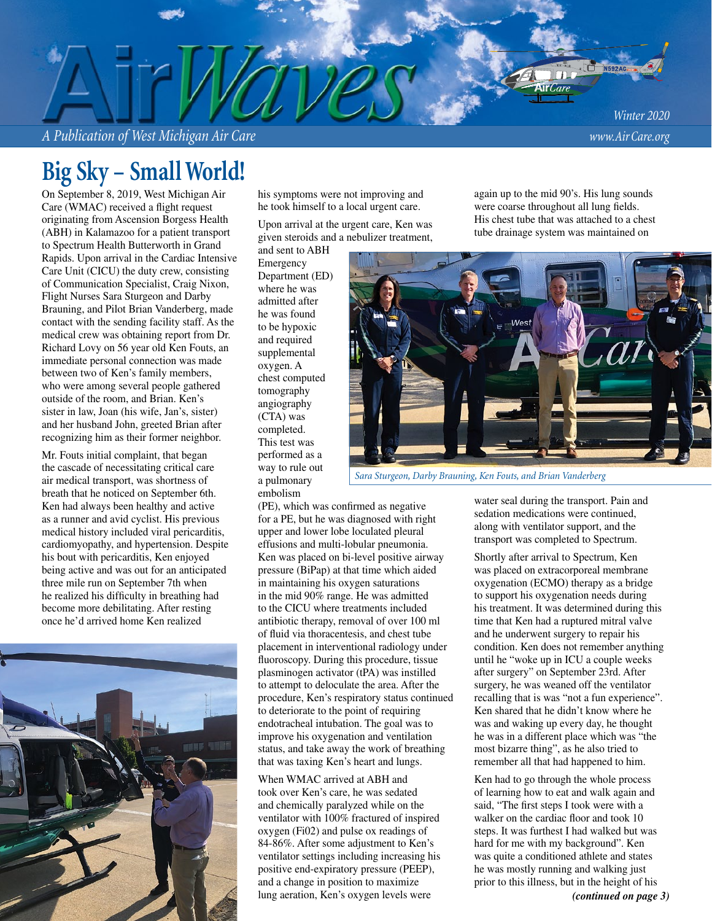*A Publication of West Michigan Air Care www.Air Care.org*

# **Big Sky – Small World!**

On September 8, 2019, West Michigan Air Care (WMAC) received a flight request originating from Ascension Borgess Health (ABH) in Kalamazoo for a patient transport to Spectrum Health Butterworth in Grand Rapids. Upon arrival in the Cardiac Intensive Care Unit (CICU) the duty crew, consisting of Communication Specialist, Craig Nixon, Flight Nurses Sara Sturgeon and Darby Brauning, and Pilot Brian Vanderberg, made contact with the sending facility staff. As the medical crew was obtaining report from Dr. Richard Lovy on 56 year old Ken Fouts, an immediate personal connection was made between two of Ken's family members, who were among several people gathered outside of the room, and Brian. Ken's sister in law, Joan (his wife, Jan's, sister) and her husband John, greeted Brian after recognizing him as their former neighbor.

Mr. Fouts initial complaint, that began the cascade of necessitating critical care air medical transport, was shortness of breath that he noticed on September 6th. Ken had always been healthy and active as a runner and avid cyclist. His previous medical history included viral pericarditis, cardiomyopathy, and hypertension. Despite his bout with pericarditis, Ken enjoyed being active and was out for an anticipated three mile run on September 7th when he realized his difficulty in breathing had become more debilitating. After resting once he'd arrived home Ken realized



his symptoms were not improving and he took himself to a local urgent care.

Upon arrival at the urgent care, Ken was given steroids and a nebulizer treatment,

and sent to ABH Emergency Department (ED) where he was admitted after he was found to be hypoxic and required supplemental oxygen. A chest computed tomography angiography (CTA) was completed. This test was performed as a way to rule out a pulmonary embolism

tube drainage system was maintained on West

again up to the mid 90's. His lung sounds were coarse throughout all lung fields. His chest tube that was attached to a chest

*Sara Sturgeon, Darby Brauning, Ken Fouts, and Brian Vanderberg*

(PE), which was confirmed as negative for a PE, but he was diagnosed with right upper and lower lobe loculated pleural effusions and multi-lobular pneumonia. Ken was placed on bi-level positive airway pressure (BiPap) at that time which aided in maintaining his oxygen saturations in the mid 90% range. He was admitted to the CICU where treatments included antibiotic therapy, removal of over 100 ml of fluid via thoracentesis, and chest tube placement in interventional radiology under fluoroscopy. During this procedure, tissue plasminogen activator (tPA) was instilled to attempt to deloculate the area. After the procedure, Ken's respiratory status continued to deteriorate to the point of requiring endotracheal intubation. The goal was to improve his oxygenation and ventilation status, and take away the work of breathing that was taxing Ken's heart and lungs.

When WMAC arrived at ABH and took over Ken's care, he was sedated and chemically paralyzed while on the ventilator with 100% fractured of inspired oxygen (Fi02) and pulse ox readings of 84-86%. After some adjustment to Ken's ventilator settings including increasing his positive end-expiratory pressure (PEEP), and a change in position to maximize lung aeration, Ken's oxygen levels were

water seal during the transport. Pain and sedation medications were continued, along with ventilator support, and the transport was completed to Spectrum.

Shortly after arrival to Spectrum, Ken was placed on extracorporeal membrane oxygenation (ECMO) therapy as a bridge to support his oxygenation needs during his treatment. It was determined during this time that Ken had a ruptured mitral valve and he underwent surgery to repair his condition. Ken does not remember anything until he "woke up in ICU a couple weeks after surgery" on September 23rd. After surgery, he was weaned off the ventilator recalling that is was "not a fun experience". Ken shared that he didn't know where he was and waking up every day, he thought he was in a different place which was "the most bizarre thing", as he also tried to remember all that had happened to him.

Ken had to go through the whole process of learning how to eat and walk again and said, "The first steps I took were with a walker on the cardiac floor and took 10 steps. It was furthest I had walked but was hard for me with my background". Ken was quite a conditioned athlete and states he was mostly running and walking just prior to this illness, but in the height of his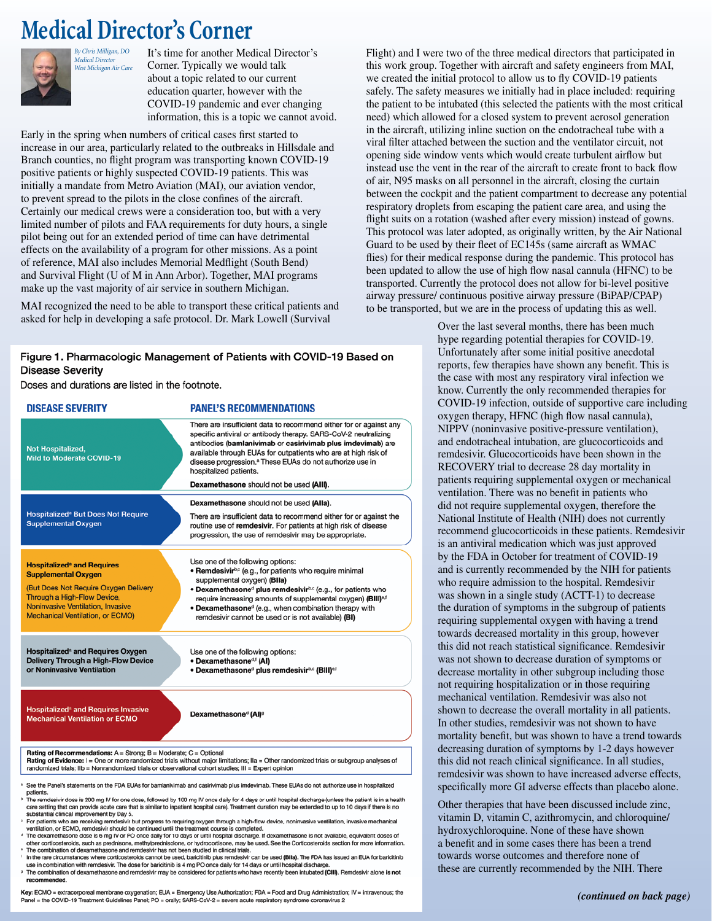# **Medical Director's Corner**

*By Chris Milligan, DO Medical Director*



It's time for another Medical Director's Corner. Typically we would talk about a topic related to our current education quarter, however with the COVID-19 pandemic and ever changing information, this is a topic we cannot avoid. *West Michigan Air Care*

Early in the spring when numbers of critical cases first started to increase in our area, particularly related to the outbreaks in Hillsdale and Branch counties, no flight program was transporting known COVID-19 positive patients or highly suspected COVID-19 patients. This was initially a mandate from Metro Aviation (MAI), our aviation vendor, to prevent spread to the pilots in the close confines of the aircraft. Certainly our medical crews were a consideration too, but with a very limited number of pilots and FAA requirements for duty hours, a single pilot being out for an extended period of time can have detrimental effects on the availability of a program for other missions. As a point of reference, MAI also includes Memorial Medflight (South Bend) and Survival Flight (U of M in Ann Arbor). Together, MAI programs make up the vast majority of air service in southern Michigan.

MAI recognized the need to be able to transport these critical patients and asked for help in developing a safe protocol. Dr. Mark Lowell (Survival

### Figure 1. Pharmacologic Management of Patients with COVID-19 Based on **Disease Severity**

Doses and durations are listed in the footnote.

| <b>DISEASE SEVERITY</b>                                                                                                                                                                                                                                                                                                                                                                                                                                                                                                                      | <b>PANEL'S RECOMMENDATIONS</b>                                                                                                                                                                                                                                                                                                                                                                                             |
|----------------------------------------------------------------------------------------------------------------------------------------------------------------------------------------------------------------------------------------------------------------------------------------------------------------------------------------------------------------------------------------------------------------------------------------------------------------------------------------------------------------------------------------------|----------------------------------------------------------------------------------------------------------------------------------------------------------------------------------------------------------------------------------------------------------------------------------------------------------------------------------------------------------------------------------------------------------------------------|
| <b>Not Hospitalized,</b><br><b>Mild to Moderate COVID-19</b>                                                                                                                                                                                                                                                                                                                                                                                                                                                                                 | There are insufficient data to recommend either for or against any<br>specific antiviral or antibody therapy. SARS-CoV-2 neutralizing<br>antibodies (bamlanivimab or casirivimab plus imdevimab) are<br>available through EUAs for outpatients who are at high risk of<br>disease progression. <sup>®</sup> These EUAs do not authorize use in<br>hospitalized patients.                                                   |
|                                                                                                                                                                                                                                                                                                                                                                                                                                                                                                                                              | Dexamethasone should not be used (AIII).                                                                                                                                                                                                                                                                                                                                                                                   |
| <b>Hospitalized<sup>®</sup> But Does Not Require</b><br><b>Supplemental Oxygen</b>                                                                                                                                                                                                                                                                                                                                                                                                                                                           | Dexamethasone should not be used (Alla).<br>There are insufficient data to recommend either for or against the<br>routine use of remdesivir. For patients at high risk of disease<br>progression, the use of remdesivir may be appropriate.                                                                                                                                                                                |
| <b>Hospitalized<sup>a</sup> and Requires</b><br><b>Supplemental Oxygen</b><br>(But Does Not Require Oxygen Delivery<br>Through a High-Flow Device,<br>Noninvasive Ventilation, Invasive<br>Mechanical Ventilation, or ECMO)                                                                                                                                                                                                                                                                                                                  | Use one of the following options:<br>• Remdesivir <sup>b,c</sup> (e.g., for patients who require minimal<br>supplemental oxygen) (Blla)<br>• Dexamethasone <sup>d</sup> plus remdesivirb,c (e.g., for patients who<br>require increasing amounts of supplemental oxygen) (BIII) <sup>®,f</sup><br>• Dexamethasone <sup>d</sup> (e.g., when combination therapy with<br>remdesivir cannot be used or is not available) (BI) |
| Hospitalized <sup>a</sup> and Requires Oxygen<br><b>Delivery Through a High-Flow Device</b><br>or Noninvasive Ventilation                                                                                                                                                                                                                                                                                                                                                                                                                    | Use one of the following options:<br>• Dexamethasone <sup>d, [</sup> Al]<br>• Dexamethasone <sup>d</sup> plus remdesivirb.c (BIII) <sup>e,f</sup>                                                                                                                                                                                                                                                                          |
| <b>Hospitalized<sup>®</sup> and Requires Invasive</b><br><b>Mechanical Ventilation or ECMO</b>                                                                                                                                                                                                                                                                                                                                                                                                                                               | Dexamethasone <sup>d</sup> (AI) <sup>o</sup>                                                                                                                                                                                                                                                                                                                                                                               |
| Rating of Recommendations: $A =$ Strong; $B =$ Moderate; $C =$ Optional<br>Rating of Evidence: I = One or more randomized trials without major limitations; Ila = Other randomized trials or subgroup analyses of<br>randomized trials; IIb = Nonrandomized trials or observational cohort studies; III = Expert opinion                                                                                                                                                                                                                     |                                                                                                                                                                                                                                                                                                                                                                                                                            |
| See the Panel's statements on the FDA EUAs for bamlanivimab and casirivimab plus imdevimab. These EUAs do not authorize use in hospitalized<br>patients.<br><sup>b</sup> The remdesivir dose is 200 mg IV for one dose, followed by 100 mg IV once daily for 4 days or until hospital discharge (unless the patient is in a health<br>care setting that can provide acute care that is similar to inpatient hospital care). Treatment duration may be extended to up to 10 days if there is no<br>substantial clinical improvement by Day 5. |                                                                                                                                                                                                                                                                                                                                                                                                                            |

- For patients who are receiving remdesivir but progress to requiring oxygen through a high-flow device, noninvasive ventilation, invasive mechanical
- ventilation, or ECMO, remdesivir should be continued until the treatment course is completed.<br><sup>d</sup> The dexamethasone dose is 6 mg IV or PO once daily for 10 days or until hospital discharge. If dexamethasone is not availabl other corticosteroids, such as prednisone, methylprednisolone, or hydrocortisone, may be used. See the Corticosteroids section for more information.
- The combination of dexamethasone and remdesivir has not been studied in clinical trials.<br>In the combination of dexamethasone and remdesivir has not been studied in clinical trials.<br>In the rare circumstances where corticost
- use in combination with remdesivir. The dose for baricitinib is 4 mg PO once daily for 14 days or until hospital discharge <sup>9</sup> The combination of dexamethasone and remdesivir may be considered for patients who have recently been intubated (CIII). Remdesivir alone is not
- recommended.

Key: ECMO = extracorporeal membrane oxygenation; EUA = Emergency Use Authorization; FDA = Food and Drug Administration; IV = intravenous; the Panel = the COVID-19 Treatment Guidelines Panel; PO = orally; SARS-CoV-2 = severe acute respiratory syndrome coronavirus 2

Flight) and I were two of the three medical directors that participated in this work group. Together with aircraft and safety engineers from MAI, we created the initial protocol to allow us to fly COVID-19 patients safely. The safety measures we initially had in place included: requiring the patient to be intubated (this selected the patients with the most critical need) which allowed for a closed system to prevent aerosol generation in the aircraft, utilizing inline suction on the endotracheal tube with a viral filter attached between the suction and the ventilator circuit, not opening side window vents which would create turbulent airflow but instead use the vent in the rear of the aircraft to create front to back flow of air, N95 masks on all personnel in the aircraft, closing the curtain between the cockpit and the patient compartment to decrease any potential respiratory droplets from escaping the patient care area, and using the flight suits on a rotation (washed after every mission) instead of gowns. This protocol was later adopted, as originally written, by the Air National Guard to be used by their fleet of EC145s (same aircraft as WMAC flies) for their medical response during the pandemic. This protocol has been updated to allow the use of high flow nasal cannula (HFNC) to be transported. Currently the protocol does not allow for bi-level positive airway pressure/ continuous positive airway pressure (BiPAP/CPAP) to be transported, but we are in the process of updating this as well.

> Over the last several months, there has been much hype regarding potential therapies for COVID-19. Unfortunately after some initial positive anecdotal reports, few therapies have shown any benefit. This is the case with most any respiratory viral infection we know. Currently the only recommended therapies for COVID-19 infection, outside of supportive care including oxygen therapy, HFNC (high flow nasal cannula), NIPPV (noninvasive positive-pressure ventilation), and endotracheal intubation, are glucocorticoids and remdesivir. Glucocorticoids have been shown in the RECOVERY trial to decrease 28 day mortality in patients requiring supplemental oxygen or mechanical ventilation. There was no benefit in patients who did not require supplemental oxygen, therefore the National Institute of Health (NIH) does not currently recommend glucocorticoids in these patients. Remdesivir is an antiviral medication which was just approved by the FDA in October for treatment of COVID-19 and is currently recommended by the NIH for patients who require admission to the hospital. Remdesivir was shown in a single study (ACTT-1) to decrease the duration of symptoms in the subgroup of patients requiring supplemental oxygen with having a trend towards decreased mortality in this group, however this did not reach statistical significance. Remdesivir was not shown to decrease duration of symptoms or decrease mortality in other subgroup including those not requiring hospitalization or in those requiring mechanical ventilation. Remdesivir was also not shown to decrease the overall mortality in all patients. In other studies, remdesivir was not shown to have mortality benefit, but was shown to have a trend towards decreasing duration of symptoms by 1-2 days however this did not reach clinical significance. In all studies, remdesivir was shown to have increased adverse effects, specifically more GI adverse effects than placebo alone.

Other therapies that have been discussed include zinc, vitamin D, vitamin C, azithromycin, and chloroquine/ hydroxychloroquine. None of these have shown a benefit and in some cases there has been a trend towards worse outcomes and therefore none of these are currently recommended by the NIH. There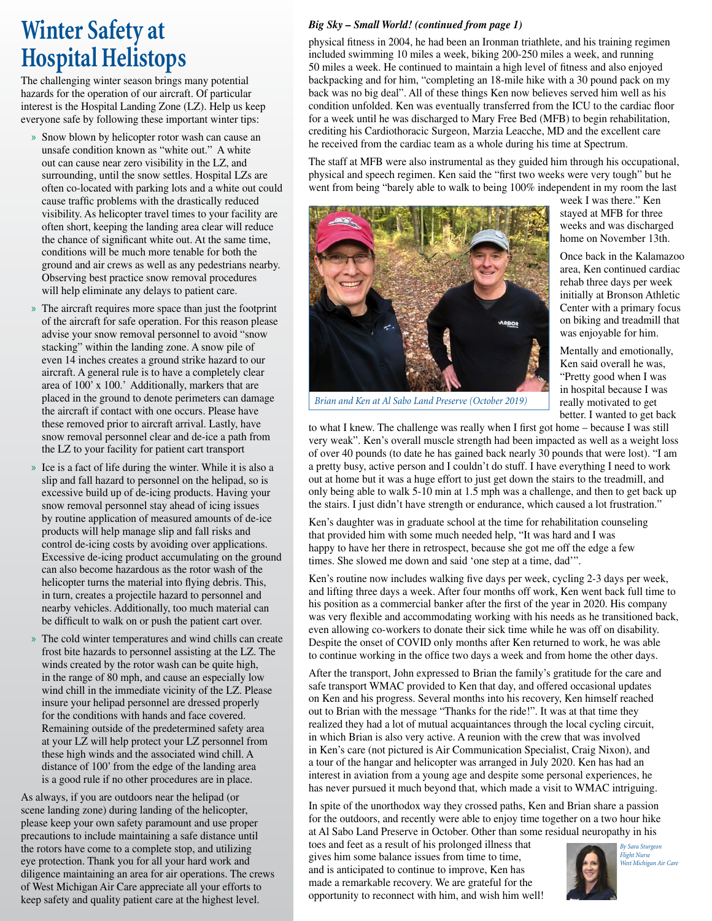## **Winter Safety at Hospital Helistops**

The challenging winter season brings many potential hazards for the operation of our aircraft. Of particular interest is the Hospital Landing Zone (LZ). Help us keep everyone safe by following these important winter tips:

- » Snow blown by helicopter rotor wash can cause an unsafe condition known as "white out." A white out can cause near zero visibility in the LZ, and surrounding, until the snow settles. Hospital LZs are often co-located with parking lots and a white out could cause traffic problems with the drastically reduced visibility. As helicopter travel times to your facility are often short, keeping the landing area clear will reduce the chance of significant white out. At the same time, conditions will be much more tenable for both the ground and air crews as well as any pedestrians nearby. Observing best practice snow removal procedures will help eliminate any delays to patient care.
- » The aircraft requires more space than just the footprint of the aircraft for safe operation. For this reason please advise your snow removal personnel to avoid "snow stacking" within the landing zone. A snow pile of even 14 inches creates a ground strike hazard to our aircraft. A general rule is to have a completely clear area of 100' x 100.' Additionally, markers that are placed in the ground to denote perimeters can damage the aircraft if contact with one occurs. Please have these removed prior to aircraft arrival. Lastly, have snow removal personnel clear and de-ice a path from the LZ to your facility for patient cart transport
- » Ice is a fact of life during the winter. While it is also a slip and fall hazard to personnel on the helipad, so is excessive build up of de-icing products. Having your snow removal personnel stay ahead of icing issues by routine application of measured amounts of de-ice products will help manage slip and fall risks and control de-icing costs by avoiding over applications. Excessive de-icing product accumulating on the ground can also become hazardous as the rotor wash of the helicopter turns the material into flying debris. This, in turn, creates a projectile hazard to personnel and nearby vehicles. Additionally, too much material can be difficult to walk on or push the patient cart over.
- » The cold winter temperatures and wind chills can create frost bite hazards to personnel assisting at the LZ. The winds created by the rotor wash can be quite high, in the range of 80 mph, and cause an especially low wind chill in the immediate vicinity of the LZ. Please insure your helipad personnel are dressed properly for the conditions with hands and face covered. Remaining outside of the predetermined safety area at your LZ will help protect your LZ personnel from these high winds and the associated wind chill. A distance of 100' from the edge of the landing area is a good rule if no other procedures are in place.

As always, if you are outdoors near the helipad (or scene landing zone) during landing of the helicopter, please keep your own safety paramount and use proper precautions to include maintaining a safe distance until the rotors have come to a complete stop, and utilizing eye protection. Thank you for all your hard work and diligence maintaining an area for air operations. The crews of West Michigan Air Care appreciate all your efforts to keep safety and quality patient care at the highest level.

### *Big Sky – Small World! (continued from page 1)*

physical fitness in 2004, he had been an Ironman triathlete, and his training regimen included swimming 10 miles a week, biking 200-250 miles a week, and running 50 miles a week. He continued to maintain a high level of fitness and also enjoyed backpacking and for him, "completing an 18-mile hike with a 30 pound pack on my back was no big deal". All of these things Ken now believes served him well as his condition unfolded. Ken was eventually transferred from the ICU to the cardiac floor for a week until he was discharged to Mary Free Bed (MFB) to begin rehabilitation, crediting his Cardiothoracic Surgeon, Marzia Leacche, MD and the excellent care he received from the cardiac team as a whole during his time at Spectrum.

The staff at MFB were also instrumental as they guided him through his occupational, physical and speech regimen. Ken said the "first two weeks were very tough" but he went from being "barely able to walk to being 100% independent in my room the last



week I was there." Ken stayed at MFB for three weeks and was discharged home on November 13th.

Once back in the Kalamazoo area, Ken continued cardiac rehab three days per week initially at Bronson Athletic Center with a primary focus on biking and treadmill that was enjoyable for him.

Mentally and emotionally, Ken said overall he was, "Pretty good when I was in hospital because I was really motivated to get better. I wanted to get back

*Brian and Ken at Al Sabo Land Preserve (October 2019)*

to what I knew. The challenge was really when I first got home – because I was still very weak". Ken's overall muscle strength had been impacted as well as a weight loss of over 40 pounds (to date he has gained back nearly 30 pounds that were lost). "I am a pretty busy, active person and I couldn't do stuff. I have everything I need to work out at home but it was a huge effort to just get down the stairs to the treadmill, and only being able to walk 5-10 min at 1.5 mph was a challenge, and then to get back up the stairs. I just didn't have strength or endurance, which caused a lot frustration."

Ken's daughter was in graduate school at the time for rehabilitation counseling that provided him with some much needed help, "It was hard and I was happy to have her there in retrospect, because she got me off the edge a few times. She slowed me down and said 'one step at a time, dad'".

Ken's routine now includes walking five days per week, cycling 2-3 days per week, and lifting three days a week. After four months off work, Ken went back full time to his position as a commercial banker after the first of the year in 2020. His company was very flexible and accommodating working with his needs as he transitioned back, even allowing co-workers to donate their sick time while he was off on disability. Despite the onset of COVID only months after Ken returned to work, he was able to continue working in the office two days a week and from home the other days.

After the transport, John expressed to Brian the family's gratitude for the care and safe transport WMAC provided to Ken that day, and offered occasional updates on Ken and his progress. Several months into his recovery, Ken himself reached out to Brian with the message "Thanks for the ride!". It was at that time they realized they had a lot of mutual acquaintances through the local cycling circuit, in which Brian is also very active. A reunion with the crew that was involved in Ken's care (not pictured is Air Communication Specialist, Craig Nixon), and a tour of the hangar and helicopter was arranged in July 2020. Ken has had an interest in aviation from a young age and despite some personal experiences, he has never pursued it much beyond that, which made a visit to WMAC intriguing.

In spite of the unorthodox way they crossed paths, Ken and Brian share a passion for the outdoors, and recently were able to enjoy time together on a two hour hike at Al Sabo Land Preserve in October. Other than some residual neuropathy in his

toes and feet as a result of his prolonged illness that gives him some balance issues from time to time, and is anticipated to continue to improve, Ken has made a remarkable recovery. We are grateful for the opportunity to reconnect with him, and wish him well!



*By Sara Sturgeon Flight Nurse West Michigan Air Care*